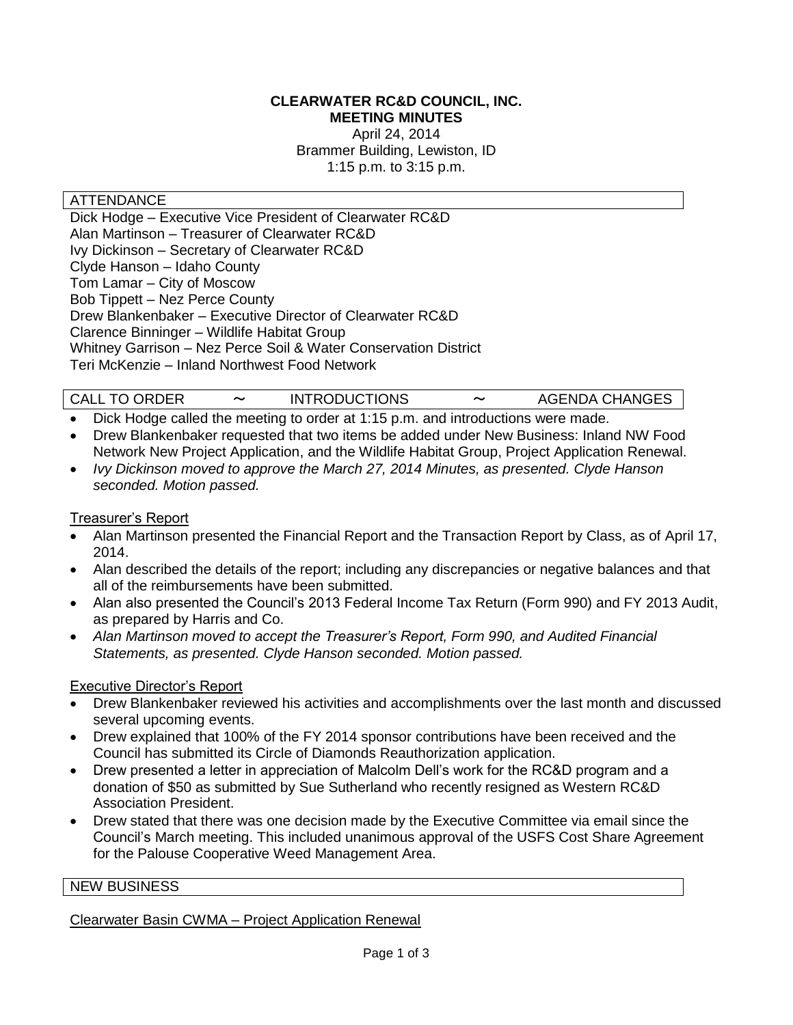#### **CLEARWATER RC&D COUNCIL, INC. MEETING MINUTES**

April 24, 2014 Brammer Building, Lewiston, ID 1:15 p.m. to 3:15 p.m.

## ATTENDANCE

Dick Hodge – Executive Vice President of Clearwater RC&D Alan Martinson – Treasurer of Clearwater RC&D Ivy Dickinson – Secretary of Clearwater RC&D Clyde Hanson – Idaho County Tom Lamar – City of Moscow Bob Tippett – Nez Perce County Drew Blankenbaker – Executive Director of Clearwater RC&D Clarence Binninger – Wildlife Habitat Group Whitney Garrison – Nez Perce Soil & Water Conservation District Teri McKenzie – Inland Northwest Food Network

# CALL TO ORDER 〜 INTRODUCTIONS 〜 AGENDA CHANGES

- Dick Hodge called the meeting to order at 1:15 p.m. and introductions were made.
- Drew Blankenbaker requested that two items be added under New Business: Inland NW Food Network New Project Application, and the Wildlife Habitat Group, Project Application Renewal.
- *Ivy Dickinson moved to approve the March 27, 2014 Minutes, as presented. Clyde Hanson seconded. Motion passed.*

#### Treasurer's Report

- Alan Martinson presented the Financial Report and the Transaction Report by Class, as of April 17, 2014.
- Alan described the details of the report; including any discrepancies or negative balances and that all of the reimbursements have been submitted.
- Alan also presented the Council's 2013 Federal Income Tax Return (Form 990) and FY 2013 Audit, as prepared by Harris and Co.
- *Alan Martinson moved to accept the Treasurer's Report, Form 990, and Audited Financial Statements, as presented. Clyde Hanson seconded. Motion passed.*

## Executive Director's Report

- Drew Blankenbaker reviewed his activities and accomplishments over the last month and discussed several upcoming events.
- Drew explained that 100% of the FY 2014 sponsor contributions have been received and the Council has submitted its Circle of Diamonds Reauthorization application.
- Drew presented a letter in appreciation of Malcolm Dell's work for the RC&D program and a donation of \$50 as submitted by Sue Sutherland who recently resigned as Western RC&D Association President.
- Drew stated that there was one decision made by the Executive Committee via email since the Council's March meeting. This included unanimous approval of the USFS Cost Share Agreement for the Palouse Cooperative Weed Management Area.

#### NEW BUSINESS

Clearwater Basin CWMA – Project Application Renewal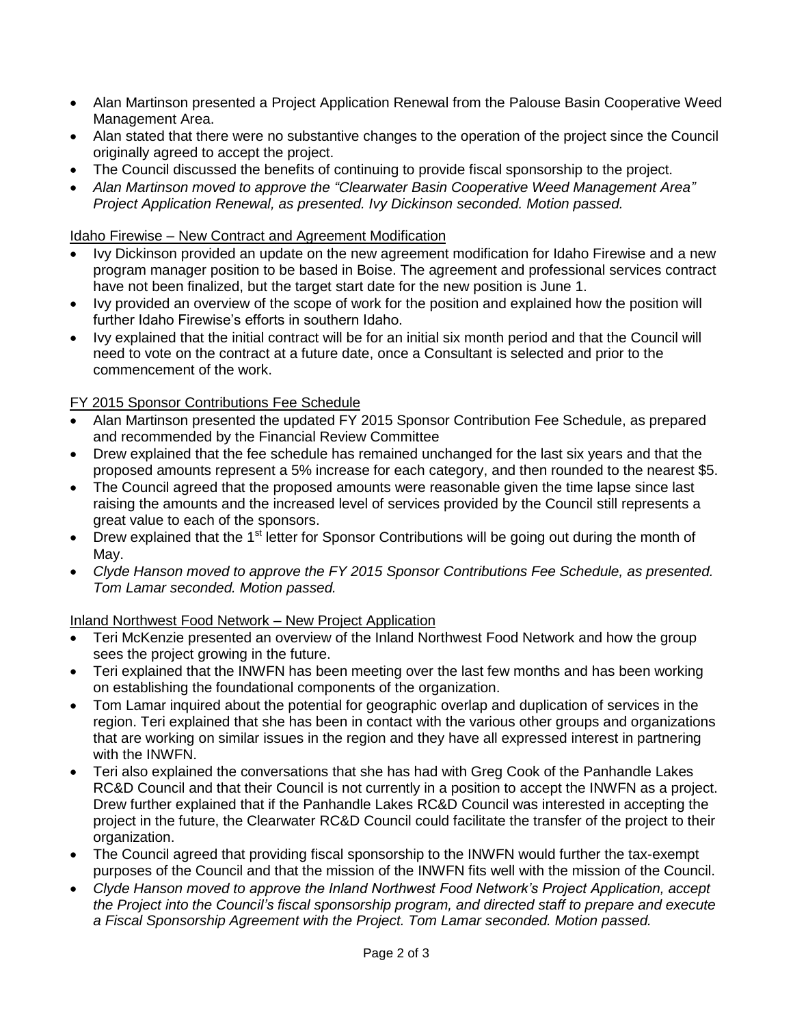- Alan Martinson presented a Project Application Renewal from the Palouse Basin Cooperative Weed Management Area.
- Alan stated that there were no substantive changes to the operation of the project since the Council originally agreed to accept the project.
- The Council discussed the benefits of continuing to provide fiscal sponsorship to the project.
- *Alan Martinson moved to approve the "Clearwater Basin Cooperative Weed Management Area" Project Application Renewal, as presented. Ivy Dickinson seconded. Motion passed.*

## Idaho Firewise – New Contract and Agreement Modification

- Ivy Dickinson provided an update on the new agreement modification for Idaho Firewise and a new program manager position to be based in Boise. The agreement and professional services contract have not been finalized, but the target start date for the new position is June 1.
- Ivy provided an overview of the scope of work for the position and explained how the position will further Idaho Firewise's efforts in southern Idaho.
- Ivy explained that the initial contract will be for an initial six month period and that the Council will need to vote on the contract at a future date, once a Consultant is selected and prior to the commencement of the work.

## FY 2015 Sponsor Contributions Fee Schedule

- Alan Martinson presented the updated FY 2015 Sponsor Contribution Fee Schedule, as prepared and recommended by the Financial Review Committee
- Drew explained that the fee schedule has remained unchanged for the last six years and that the proposed amounts represent a 5% increase for each category, and then rounded to the nearest \$5.
- The Council agreed that the proposed amounts were reasonable given the time lapse since last raising the amounts and the increased level of services provided by the Council still represents a great value to each of the sponsors.
- $\bullet$  Drew explained that the 1<sup>st</sup> letter for Sponsor Contributions will be going out during the month of May.
- *Clyde Hanson moved to approve the FY 2015 Sponsor Contributions Fee Schedule, as presented. Tom Lamar seconded. Motion passed.*

## Inland Northwest Food Network – New Project Application

- Teri McKenzie presented an overview of the Inland Northwest Food Network and how the group sees the project growing in the future.
- Teri explained that the INWFN has been meeting over the last few months and has been working on establishing the foundational components of the organization.
- Tom Lamar inquired about the potential for geographic overlap and duplication of services in the region. Teri explained that she has been in contact with the various other groups and organizations that are working on similar issues in the region and they have all expressed interest in partnering with the INWFN.
- Teri also explained the conversations that she has had with Greg Cook of the Panhandle Lakes RC&D Council and that their Council is not currently in a position to accept the INWFN as a project. Drew further explained that if the Panhandle Lakes RC&D Council was interested in accepting the project in the future, the Clearwater RC&D Council could facilitate the transfer of the project to their organization.
- The Council agreed that providing fiscal sponsorship to the INWFN would further the tax-exempt purposes of the Council and that the mission of the INWFN fits well with the mission of the Council.
- *Clyde Hanson moved to approve the Inland Northwest Food Network's Project Application, accept the Project into the Council's fiscal sponsorship program, and directed staff to prepare and execute a Fiscal Sponsorship Agreement with the Project. Tom Lamar seconded. Motion passed.*